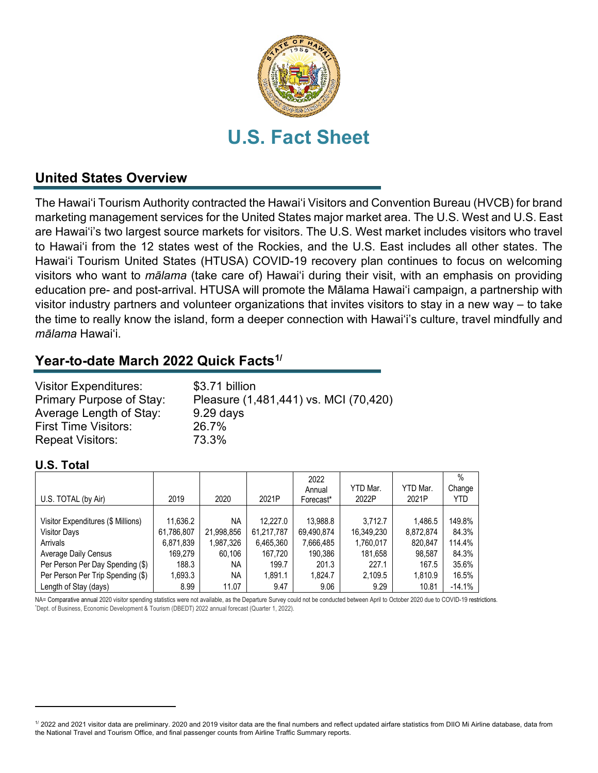

## **United States Overview**

The Hawai'i Tourism Authority contracted the Hawai'i Visitors and Convention Bureau (HVCB) for brand marketing management services for the United States major market area. The U.S. West and U.S. East are Hawai'i's two largest source markets for visitors. The U.S. West market includes visitors who travel to Hawai'i from the 12 states west of the Rockies, and the U.S. East includes all other states. The Hawai'i Tourism United States (HTUSA) COVID-19 recovery plan continues to focus on welcoming visitors who want to *mālama* (take care of) Hawai'i during their visit, with an emphasis on providing education pre- and post-arrival. HTUSA will promote the Mālama Hawai'i campaign, a partnership with visitor industry partners and volunteer organizations that invites visitors to stay in a new way – to take the time to really know the island, form a deeper connection with Hawai'i's culture, travel mindfully and *mālama* Hawai'i.

## **Year-to-date March 2022 Quick Facts[1/](#page-0-0)**

| <b>Visitor Expenditures:</b><br>Primary Purpose of Stay: | \$3.71 billion<br>Pleasure (1,481,441) vs. MCI (70,420) |
|----------------------------------------------------------|---------------------------------------------------------|
| Average Length of Stay:                                  | $9.29$ days                                             |
| <b>First Time Visitors:</b>                              | 26.7%                                                   |
| <b>Repeat Visitors:</b>                                  | 73.3%                                                   |

## **U.S. Total**

| U.S. TOTAL (by Air)                | 2019       | 2020       | 2021P      | 2022<br>Annual | YTD Mar.<br>2022P | YTD Mar.<br>2021P | $\%$<br>Change<br>YTD |
|------------------------------------|------------|------------|------------|----------------|-------------------|-------------------|-----------------------|
|                                    |            |            |            | Forecast*      |                   |                   |                       |
|                                    |            |            |            |                |                   |                   |                       |
| Visitor Expenditures (\$ Millions) | 11.636.2   | NA         | 12.227.0   | 13,988.8       | 3.712.7           | 1,486.5           | 149.8%                |
| <b>Visitor Days</b>                | 61,786,807 | 21,998,856 | 61,217,787 | 69,490,874     | 16,349,230        | 8,872,874         | 84.3%                 |
| Arrivals                           | 6,871,839  | 1,987,326  | 6,465,360  | 7,666,485      | 1,760,017         | 820,847           | 114.4%                |
| Average Daily Census               | 169.279    | 60.106     | 167,720    | 190,386        | 181,658           | 98,587            | 84.3%                 |
| Per Person Per Day Spending (\$)   | 188.3      | ΝA         | 199.7      | 201.3          | 227.1             | 167.5             | 35.6%                 |
| Per Person Per Trip Spending (\$)  | 1,693.3    | NA         | 1.891.1    | 1,824.7        | 2,109.5           | 1,810.9           | 16.5%                 |
| Length of Stay (days)              | 8.99       | 11.07      | 9.47       | 9.06           | 9.29              | 10.81             | $-14.1%$              |

NA= Comparative annual 2020 visitor spending statistics were not available, as the Departure Survey could not be conducted between April to October 2020 due to COVID-19 restrictions. Dept. of Business, Economic Development & Tourism (DBEDT) 2022 annual forecast (Quarter 1, 2022).

<span id="page-0-0"></span><sup>1/ 2022</sup> and 2021 visitor data are preliminary. 2020 and 2019 visitor data are the final numbers and reflect updated airfare statistics from DIIO Mi Airline database, data from the National Travel and Tourism Office, and final passenger counts from Airline Traffic Summary reports.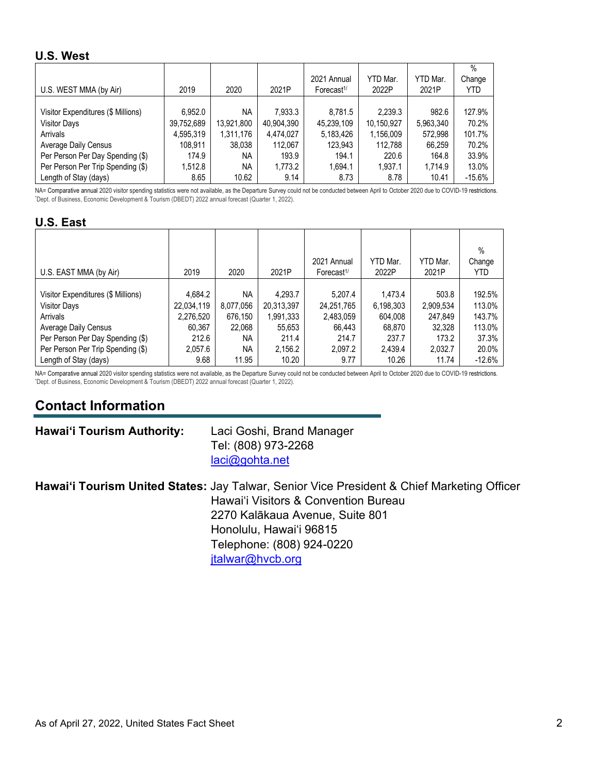### **U.S. West**

|                                    |            |            |            |                        |            |           | $\%$     |
|------------------------------------|------------|------------|------------|------------------------|------------|-----------|----------|
|                                    |            |            |            | 2021 Annual            | YTD Mar.   | YTD Mar.  | Change   |
| U.S. WEST MMA (by Air)             | 2019       | 2020       | 2021P      | Forecast <sup>1/</sup> | 2022P      | 2021P     | YTD      |
|                                    |            |            |            |                        |            |           |          |
| Visitor Expenditures (\$ Millions) | 6.952.0    | <b>NA</b>  | 7.933.3    | 8,781.5                | 2,239.3    | 982.6     | 127.9%   |
| <b>Visitor Days</b>                | 39,752,689 | 13,921,800 | 40,904,390 | 45,239,109             | 10,150,927 | 5,963,340 | 70.2%    |
| Arrivals                           | 4,595,319  | 1,311,176  | 4,474,027  | 5,183,426              | 1,156,009  | 572,998   | 101.7%   |
| Average Daily Census               | 108,911    | 38,038     | 112,067    | 123,943                | 112,788    | 66,259    | 70.2%    |
| Per Person Per Day Spending (\$)   | 174.9      | <b>NA</b>  | 193.9      | 194.1                  | 220.6      | 164.8     | 33.9%    |
| Per Person Per Trip Spending (\$)  | 1,512.8    | <b>NA</b>  | 1,773.2    | 1,694.1                | 1,937.1    | 1,714.9   | 13.0%    |
| Length of Stay (days)              | 8.65       | 10.62      | 9.14       | 8.73                   | 8.78       | 10.41     | $-15.6%$ |

NA= Comparative annual 2020 visitor spending statistics were not available, as the Departure Survey could not be conducted between April to October 2020 due to COVID-19 restrictions. Dept. of Business, Economic Development & Tourism (DBEDT) 2022 annual forecast (Quarter 1, 2022).

### **U.S. East**

|                                    |            |           |            | 2021 Annual                         | YTD Mar.  | YTD Mar.  | $\%$<br>Change |
|------------------------------------|------------|-----------|------------|-------------------------------------|-----------|-----------|----------------|
| U.S. EAST MMA (by Air)             | 2019       | 2020      | 2021P      | Forecast <sup><math>1/</math></sup> | 2022P     | 2021P     | <b>YTD</b>     |
| Visitor Expenditures (\$ Millions) | 4,684.2    | <b>NA</b> | 4,293.7    | 5.207.4                             | 1.473.4   | 503.8     | 192.5%         |
| <b>Visitor Days</b>                | 22,034,119 | 8,077,056 | 20,313,397 | 24,251,765                          | 6,198,303 | 2,909,534 | 113.0%         |
| Arrivals                           | 2,276,520  | 676.150   | 1,991,333  | 2,483,059                           | 604,008   | 247.849   | 143.7%         |
| Average Daily Census               | 60,367     | 22,068    | 55,653     | 66,443                              | 68,870    | 32,328    | 113.0%         |
| Per Person Per Day Spending (\$)   | 212.6      | NA.       | 211.4      | 214.7                               | 237.7     | 173.2     | 37.3%          |
| Per Person Per Trip Spending (\$)  | 2,057.6    | <b>NA</b> | 2,156.2    | 2,097.2                             | 2,439.4   | 2,032.7   | 20.0%          |
| Length of Stay (days)              | 9.68       | 11.95     | 10.20      | 9.77                                | 10.26     | 11.74     | $-12.6%$       |

NA= Comparative annual 2020 visitor spending statistics were not available, as the Departure Survey could not be conducted between April to October 2020 due to COVID-19 restrictions. Dept. of Business, Economic Development & Tourism (DBEDT) 2022 annual forecast (Quarter 1, 2022).

# **Contact Information**

### **Hawai'i Tourism Authority:** Laci Goshi, Brand Manager

Tel: (808) 973-2268 [laci@gohta.net](mailto:laci@gohta.net)

**Hawai'i Tourism United States:** Jay Talwar, Senior Vice President & Chief Marketing Officer Hawai'i Visitors & Convention Bureau 2270 Kalākaua Avenue, Suite 801 Honolulu, Hawai'i 96815 Telephone: (808) 924-0220 [jtalwar@hvcb.org](mailto:jtalwar@hvcb.org)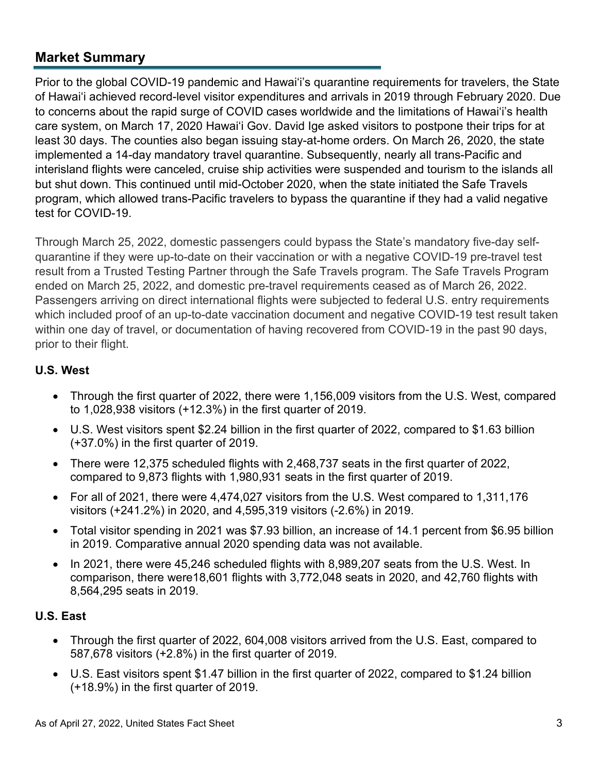## **Market Summary**

Prior to the global COVID-19 pandemic and Hawai'i's quarantine requirements for travelers, the State of Hawai'i achieved record-level visitor expenditures and arrivals in 2019 through February 2020. Due to concerns about the rapid surge of COVID cases worldwide and the limitations of Hawai'i's health care system, on March 17, 2020 Hawai'i Gov. David Ige asked visitors to [postpone their trips](https://www.staradvertiser.com/2020/03/17/breaking-news/hawaii-records-4-more-cases-of-coronavirus-including-big-islands-first-case/) for at least 30 days. The counties also began issuing stay-at-home orders. On March 26, 2020, the state implemented a 14-day mandatory travel quarantine. Subsequently, nearly all trans-Pacific and interisland flights were canceled, cruise ship activities were suspended and tourism to the islands all but shut down. This continued until mid-October 2020, when the state initiated the Safe Travels program, which allowed trans-Pacific travelers to bypass the quarantine if they had a valid negative test for COVID-19.

Through March 25, 2022, domestic passengers could bypass the State's mandatory five-day selfquarantine if they were up-to-date on their vaccination or with a negative COVID-19 pre-travel test result from a Trusted Testing Partner through the Safe Travels program. The Safe Travels Program ended on March 25, 2022, and domestic pre-travel requirements ceased as of March 26, 2022. Passengers arriving on direct international flights were subjected to federal U.S. entry requirements which included proof of an up-to-date vaccination document and negative COVID-19 test result taken within one day of travel, or documentation of having recovered from COVID-19 in the past 90 days, prior to their flight.

## **U.S. West**

- Through the first quarter of 2022, there were 1,156,009 visitors from the U.S. West, compared to 1,028,938 visitors (+12.3%) in the first quarter of 2019.
- U.S. West visitors spent \$2.24 billion in the first quarter of 2022, compared to \$1.63 billion (+37.0%) in the first quarter of 2019.
- There were 12,375 scheduled flights with 2,468,737 seats in the first quarter of 2022, compared to 9,873 flights with 1,980,931 seats in the first quarter of 2019.
- For all of 2021, there were 4,474,027 visitors from the U.S. West compared to 1,311,176 visitors (+241.2%) in 2020, and 4,595,319 visitors (-2.6%) in 2019.
- Total visitor spending in 2021 was \$7.93 billion, an increase of 14.1 percent from \$6.95 billion in 2019. Comparative annual 2020 spending data was not available.
- In 2021, there were 45,246 scheduled flights with 8,989,207 seats from the U.S. West. In comparison, there were18,601 flights with 3,772,048 seats in 2020, and 42,760 flights with 8,564,295 seats in 2019.

## **U.S. East**

- Through the first quarter of 2022, 604,008 visitors arrived from the U.S. East, compared to 587,678 visitors (+2.8%) in the first quarter of 2019.
- U.S. East visitors spent \$1.47 billion in the first quarter of 2022, compared to \$1.24 billion (+18.9%) in the first quarter of 2019.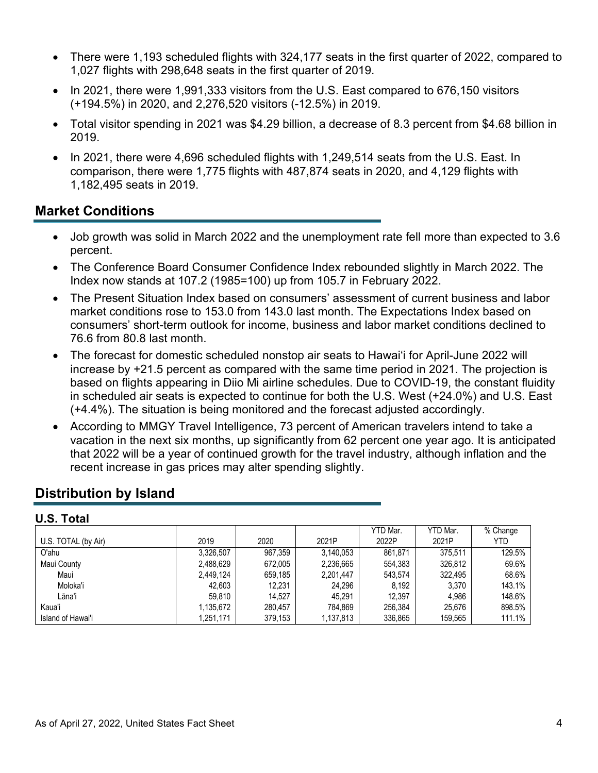- There were 1,193 scheduled flights with 324,177 seats in the first quarter of 2022, compared to 1,027 flights with 298,648 seats in the first quarter of 2019.
- In 2021, there were 1,991,333 visitors from the U.S. East compared to 676,150 visitors (+194.5%) in 2020, and 2,276,520 visitors (-12.5%) in 2019.
- Total visitor spending in 2021 was \$4.29 billion, a decrease of 8.3 percent from \$4.68 billion in 2019.
- In 2021, there were 4,696 scheduled flights with 1,249,514 seats from the U.S. East. In comparison, there were 1,775 flights with 487,874 seats in 2020, and 4,129 flights with 1,182,495 seats in 2019.

## **Market Conditions**

- Job growth was solid in March 2022 and the unemployment rate fell more than expected to 3.6 percent.
- The Conference Board Consumer Confidence Index rebounded slightly in March 2022. The Index now stands at 107.2 (1985=100) up from 105.7 in February 2022.
- The Present Situation Index based on consumers' assessment of current business and labor market conditions rose to 153.0 from 143.0 last month. The Expectations Index based on consumers' short-term outlook for income, business and labor market conditions declined to 76.6 from 80.8 last month.
- The forecast for domestic scheduled nonstop air seats to Hawai'i for April-June 2022 will increase by +21.5 percent as compared with the same time period in 2021. The projection is based on flights appearing in Diio Mi airline schedules. Due to COVID-19, the constant fluidity in scheduled air seats is expected to continue for both the U.S. West (+24.0%) and U.S. East (+4.4%). The situation is being monitored and the forecast adjusted accordingly.
- According to MMGY Travel Intelligence, 73 percent of American travelers intend to take a vacation in the next six months, up significantly from 62 percent one year ago. It is anticipated that 2022 will be a year of continued growth for the travel industry, although inflation and the recent increase in gas prices may alter spending slightly.

## **Distribution by Island**

## **U.S. Total**

|                     |           |         |           | YTD Mar. | YTD Mar. | % Change |
|---------------------|-----------|---------|-----------|----------|----------|----------|
| U.S. TOTAL (by Air) | 2019      | 2020    | 2021P     | 2022P    | 2021P    | YTD      |
| O'ahu               | 3.326.507 | 967.359 | 3.140.053 | 861.871  | 375.511  | 129.5%   |
| Maui County         | 2,488,629 | 672.005 | 2,236,665 | 554.383  | 326.812  | 69.6%    |
| Maui                | 2.449.124 | 659.185 | 2,201,447 | 543.574  | 322.495  | 68.6%    |
| Moloka'i            | 42.603    | 12.231  | 24.296    | 8.192    | 3.370    | 143.1%   |
| Lāna'i              | 59.810    | 14.527  | 45.291    | 12.397   | 4.986    | 148.6%   |
| Kaua'i              | 1.135.672 | 280.457 | 784.869   | 256.384  | 25.676   | 898.5%   |
| Island of Hawai'i   | 1,251,171 | 379,153 | 1,137,813 | 336,865  | 159,565  | 111.1%   |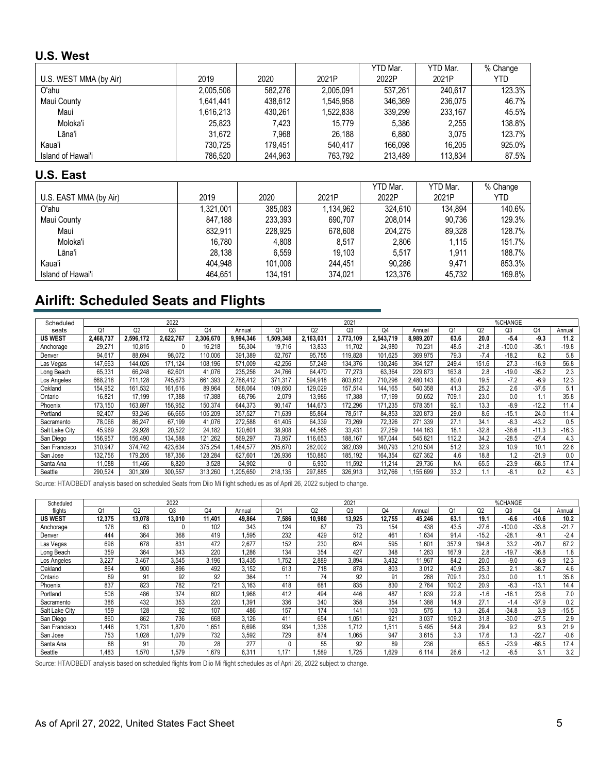### **U.S. West**

|                        |           |         |           | YTD Mar. | YTD Mar. | % Change |
|------------------------|-----------|---------|-----------|----------|----------|----------|
| U.S. WEST MMA (by Air) | 2019      | 2020    | 2021P     | 2022P    | 2021P    | YTD      |
| O'ahu                  | 2,005,506 | 582.276 | 2,005,091 | 537.261  | 240.617  | 123.3%   |
| Maui County            | 1,641,441 | 438.612 | 1.545.958 | 346.369  | 236.075  | 46.7%    |
| Maui                   | 1,616,213 | 430.261 | 1,522,838 | 339.299  | 233.167  | 45.5%    |
| Moloka'i               | 25.823    | 7.423   | 15.779    | 5.386    | 2.255    | 138.8%   |
| Lāna'i                 | 31.672    | 7.968   | 26.188    | 6.880    | 3.075    | 123.7%   |
| Kaua'i                 | 730.725   | 179.451 | 540.417   | 166.098  | 16.205   | 925.0%   |
| Island of Hawai'i      | 786,520   | 244,963 | 763.792   | 213.489  | 113.834  | 87.5%    |

### **U.S. East**

|                        |           |         |           | YTD Mar. | YTD Mar. | % Change   |
|------------------------|-----------|---------|-----------|----------|----------|------------|
| U.S. EAST MMA (by Air) | 2019      | 2020    | 2021P     | 2022P    | 2021P    | <b>YTD</b> |
| O'ahu                  | 1,321,001 | 385.083 | 1,134,962 | 324.610  | 134.894  | 140.6%     |
| Maui County            | 847.188   | 233,393 | 690.707   | 208.014  | 90.736   | 129.3%     |
| Maui                   | 832.911   | 228.925 | 678.608   | 204.275  | 89,328   | 128.7%     |
| Moloka'i               | 16.780    | 4.808   | 8,517     | 2.806    | 1.115    | 151.7%     |
| Lāna'i                 | 28.138    | 6.559   | 19.103    | 5.517    | 1.911    | 188.7%     |
| Kaua'i                 | 404.948   | 101.006 | 244.451   | 90.286   | 9.471    | 853.3%     |
| Island of Hawai'i      | 464,651   | 134,191 | 374,021   | 123,376  | 45,732   | 169.8%     |

# **Airlift: Scheduled Seats and Flights**

| Scheduled      |           |           | 2022      |           |           |                |           | 2021           |           |           |                |                | %CHANGE  |         |         |  |
|----------------|-----------|-----------|-----------|-----------|-----------|----------------|-----------|----------------|-----------|-----------|----------------|----------------|----------|---------|---------|--|
| seats          | Ο1        | Q2        | Q3        | O4        | Annual    | O <sub>1</sub> | Q2        | Q <sub>3</sub> | Q4        | Annual    | O <sub>1</sub> | Q <sub>2</sub> | Q3       | Q4      | Annual  |  |
| <b>US WEST</b> | 2,468,737 | 2.596.172 | 2.622.767 | 2.306.670 | 9,994,346 | 1.509.348      | 2.163.03' | 2.773.109      | 2.543.719 | 8.989.207 | 63.6           | 20.0           | $-5.4$   | $-9.3$  | 11.2    |  |
| Anchorage      | 29.271    | 10.815    | 0         | 16.218    | 56.304    | 19.716         | 13.833    | 11.702         | 24.980    | 70,231    | 48.5           | $-21.8$        | $-100.0$ | $-35.1$ | $-19.8$ |  |
| Denver         | 94,617    | 88.694    | 98.072    | 110.006   | 391.389   | 52.767         | 95.755    | 119.828        | 101.625   | 369.975   | 79.3           | $-7.4$         | $-18.2$  | 8.2     | 5.8     |  |
| Las Vegas      | 147,663   | 144.026   | 171.124   | 108.196   | 571,009   | 42.256         | 57,249    | 134.376        | 130.246   | 364.127   | 249.4          | 151.6          | 27.3     | $-16.9$ | 56.8    |  |
| Long Beach     | 65,331    | 66.248    | 62,601    | 41.076    | 235,256   | 24.766         | 64.470    | 77.273         | 63.364    | 229.873   | 163.8          | 2.8            | $-19.0$  | $-35.2$ | 2.3     |  |
| Los Angeles    | 668.218   | .128      | 745.673   | 661.393   | 2,786,412 | 371,317        | 594,918   | 803,612        | 710,296   | 2.480.143 | 80.0           | 19.5           | $-7.2$   | $-6.9$  | 12.3    |  |
| Oakland        | 154.952   | 161.532   | 161.616   | 89,964    | 568.064   | 109.650        | 129,029   | 157.514        | 144.165   | 540.358   | 41.3           | 25.2           | 2.6      | $-37.6$ | 5.1     |  |
| Ontario        | 16.821    | 17.199    | 17.388    | 17.388    | 68.796    | 2.079          | 13.986    | 17.388         | 17.199    | 50,652    | 709.1          | 23.0           | 0.0      |         | 35.8    |  |
| Phoenix        | 173.150   | 163.897   | 156,952   | 150.374   | 644.373   | 90.147         | 144.673   | 172.296        | 171.235   | 578,351   | 92.1           | 13.3           | $-8.9$   | $-12.2$ | 11.4    |  |
| Portland       | 92,407    | 93.246    | 66,665    | 105.209   | 357.527   | 71.639         | 85.864    | 78,517         | 84,853    | 320,873   | 29.0           | 8.6            | $-15.1$  | 24.0    | 11.4    |  |
| Sacramento     | 78.066    | 86.247    | 67.199    | 41.076    | 272,588   | 61.405         | 64.339    | 73.269         | 72.326    | 271.339   | 27.1           | 34.7           | $-8.3$   | $-43.2$ | 0.5     |  |
| Salt Lake City | 45,969    | 29,928    | 20,522    | 24.182    | 120,601   | 38.908         | 44,565    | 33.431         | 27,259    | 144,163   | 18.1           | $-32.8$        | $-38.6$  | $-11.3$ | $-16.3$ |  |
| San Diego      | 156,957   | 156,490   | 134,588   | 121,262   | 569,297   | 73.957         | 116,653   | 188,167        | 167,044   | 545,821   | 112.2          | 34.2           | $-28.5$  | $-27.4$ | 4.3     |  |
| San Francisco  | 310.947   | 374.742   | 423.634   | 375.254   | .484.577  | 205.670        | 282.002   | 382.039        | 340.793   | .210.504  | 51.2           | 32.9           | 10.9     | 10.1    | 22.6    |  |
| San Jose       | 132.756   | 179.205   | 187,356   | 128,284   | 627.601   | 126,936        | 150,880   | 185,192        | 164,354   | 627.362   | 4.6            | 18.8           | .2       | $-21.9$ | 0.0     |  |
| Santa Ana      | 11,088    | 1,466     | 8,820     | 3,528     | 34,902    |                | 6.930     | 11.592         | 11.214    | 29,736    | <b>NA</b>      | 65.5           | $-23.9$  | $-68.5$ | 17.4    |  |
| Seattle        | 290.524   | 301.309   | 300.557   | 313.260   | .205.650  | 218.135        | 297.885   | 326.913        | 312.766   | .155.699  | 33.2           |                | $-8.1$   | 0.2     | 4.3     |  |

Source: HTA/DBEDT analysis based on scheduled Seats from Diio Mi flight schedules as of April 26, 2022 subject to change.

| Scheduled      |        |                | 2022   |        |        |       |        | 2021           |        |        |                |                | %CHANGE  |         |         |
|----------------|--------|----------------|--------|--------|--------|-------|--------|----------------|--------|--------|----------------|----------------|----------|---------|---------|
| flights        | Ο1     | Q <sub>2</sub> | Q3     | Q4     | Annual | Q1    | Q2     | Q <sub>3</sub> | Q4     | Annual | O <sub>1</sub> | Q <sub>2</sub> | Q3       | Q4      | Annual  |
| <b>US WEST</b> | 12.375 | 13.078         | 13.010 | 11.401 | 49.864 | 7.586 | 10.980 | 13.925         | 12.755 | 45.246 | 63.1           | 19.1           | $-6.6$   | $-10.6$ | 10.2    |
| Anchorage      | 178    | 63             | ۵      | 102    | 343    | 124   | 87     | 73             | 154    | 438    | 43.5           | $-27.6$        | $-100.0$ | $-33.8$ | $-21.7$ |
| Denver         | 444    | 364            | 368    | 419    | .595   | 232   | 429    | 512            | 461    | 1.634  | 91.4           | $-15.2$        | $-28.1$  | $-9.1$  | $-2.4$  |
| Las Vegas      | 696    | 678            | 831    | 472    | 2,677  | 152   | 230    | 624            | 595    | 1.601  | 357.9          | 194.8          | 33.2     | $-20.7$ | 67.2    |
| Long Beach     | 359    | 364            | 343    | 220    | 1.286  | 134   | 354    | 427            | 348    | 1.263  | 167.9          | 2.8            | $-19.7$  | $-36.8$ | 1.8     |
| Los Angeles    | 3,227  | 3,467          | 3,545  | 3.196  | 13,435 | .752  | 2,889  | 3.894          | 3,432  | 11,967 | 84.2           | 20.0           | $-9.0$   | $-6.9$  | 12.3    |
| Oakland        | 864    | 900            | 896    | 492    | 3.152  | 613   | 718    | 878            | 803    | 3.012  | 40.9           | 25.3           | 2.1      | $-38.7$ | 4.6     |
| Ontario        | 89     | 91             | 92     | 92     | 364    |       | 74     | 92             | 91     | 268    | 709.1          | 23.0           | 0.0      | 1.1     | 35.8    |
| Phoenix        | 837    | 823            | 782    | 721    | 3.163  | 418   | 681    | 835            | 830    | 2.764  | 100.2          | 20.9           | $-6.3$   | $-13.1$ | 14.4    |
| Portland       | 506    | 486            | 374    | 602    | 1.968  | 412   | 494    | 446            | 487    | 1.839  | 22.8           | $-1.6$         | $-16.1$  | 23.6    | 7.0     |
| Sacramento     | 386    | 432            | 353    | 220    | .391   | 336   | 340    | 358            | 354    | 1,388  | 14.9           | 27.1           | $-1.4$   | $-37.9$ | 0.2     |
| Salt Lake City | 159    | 128            | 92     | 107    | 486    | 157   | 174    | 141            | 103    | 575    | 1.3            | $-26.4$        | $-34.8$  | 3.9     | $-15.5$ |
| San Diego      | 860    | 862            | 736    | 668    | 3.126  | 411   | 654    | .051           | 921    | 3.037  | 109.2          | 31.8           | $-30.0$  | $-27.5$ | 2.9     |
| San Francisco  | .446   | .731           | .870   | 1.651  | 6,698  | 934   | .338   | .712           | 1.511  | 5.495  | 54.8           | 29.4           | 9.2      | 9.3     | 21.9    |
| San Jose       | 753    | 1.028          | 1.079  | 732    | 3,592  | 729   | 874    | .065           | 947    | 3.615  | 3.3            | 17.6           | 1.3      | $-22.7$ | $-0.6$  |
| Santa Ana      | 88     | 91             | 70     | 28     | 277    |       | 55     | 92             | 89     | 236    |                | 65.5           | $-23.9$  | $-68.5$ | 17.4    |
| Seattle        | .483   | .570           | .579   | 1.679  | 6,311  | .171  | .589   | .725           | .629   | 6,114  | 26.6           | $-1.2$         | $-8.5$   | 3.1     | 3.2     |

Source: HTA/DBEDT analysis based on scheduled flights from Diio Mi flight schedules as of April 26, 2022 subject to change.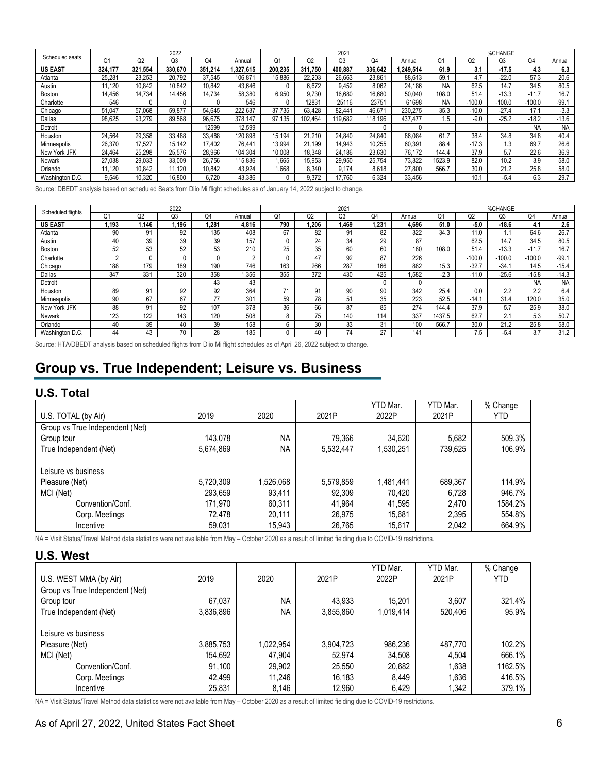|                 |            |         | 2022           |         |          |         |                | 2021            |         |          |                |                | %CHANGE  |           |           |
|-----------------|------------|---------|----------------|---------|----------|---------|----------------|-----------------|---------|----------|----------------|----------------|----------|-----------|-----------|
| Scheduled seats | Ο1         | Q2      | O <sub>3</sub> | Q4      | Annual   | О.      | O <sub>2</sub> | Q3              | Q4      | Annual   | O <sub>1</sub> | O <sub>2</sub> | O3       | Q4        | Annual    |
| <b>US EAST</b>  | 324.177    | 321.554 | 330.670        | 351.214 | .327.615 | 200.235 | 311.750        | 400.887         | 336.642 | .249.514 | 61.9           | 3.1            | $-17.5$  | 4.3       | 6.3       |
| Atlanta         | 25.28      | 23.253  | 20.792         | 37.545  | 106.871  | 15.886  | 22.203         | 26.663          | 23.861  | 88.613   | 59.1           | 4.7            | $-22.0$  | 57.3      | 20.6      |
| Austin          | 1.120      | 10.842  | 10,842         | 10.842  | 43.646   |         | 6.672          | 9.452           | 8.062   | 24.186   | <b>NA</b>      | 62.5           | 14.7     | 34.5      | 80.5      |
| Boston          | 14.456     | 14.734  | 14.456         | 14.734  | 58.380   | 6.950   | 9.730          | 16.680          | 16.680  | 50.040   | 108.0          | 51.4           | $-13.3$  | $-11.7$   | 16.7      |
| Charlotte       | 546        |         | 0              |         | 546      |         | 1283           | 25116           | 23751   | 61698    | <b>NA</b>      | $-100.0$       | $-100.0$ | $-100.0$  | $-99.1$   |
| Chicago         | 51<br>.047 | 57.068  | 59.877         | 54.645  | 222.637  | 37.735  | 63.428         | $82.44^{\circ}$ | 46,671  | 230.275  | 35.3           | $-10.0$        | $-27.4$  | 17.1      | $-3.3$    |
| Dallas          | 98.625     | 93.279  | 89.568         | 96.675  | 378.147  | 97.135  | 102.464        | 19.682          | 118.196 | 437.477  | .5             | $-9.0$         | $-25.2$  | $-18.2$   | $-13.6$   |
| Detroit         |            |         |                | 12599   | 12.599   |         |                |                 |         |          |                |                |          | <b>NA</b> | <b>NA</b> |
| Houston         | 24.564     | 29.358  | 33.488         | 33.488  | 120.898  | 15.194  | 21.210         | 24.840          | 24.840  | 86.084   | 61.7           | 38.4           | 34.8     | 34.8      | 40.4      |
| Minneapolis     | 26.370     | 17.527  | 15.142         | 17.402  | 76.441   | 13.994  | 21.199         | 14.943          | 10.255  | 60.391   | 88.4           | $-17.3$        | 1.3      | 69.7      | 26.6      |
| New York JFK    | 24.464     | 25.298  | 25.576         | 28.966  | 104.304  | 10.008  | 18.348         | 24.186          | 23.630  | 76.172   | 144.4          | 37.9           | 5.7      | 22.6      | 36.9      |
| Newark          | 27.038     | 29.033  | 33.009         | 26.756  | 115.836  | .665    | 15,953         | 29.950          | 25.754  | 73.322   | 523.9          | 82.0           | 10.2     | 3.9       | 58.0      |
| Orlando         | 1.120      | 10.842  | 11.120         | 10.842  | 43.924   | .668    | 8.340          | 9.174           | 8.618   | 27.800   | 566.7          | 30.0           | 21.2     | 25.8      | 58.0      |
| Washington D.C. | 9.546      | 10.320  | 16,800         | 6.720   | 43.386   |         | 9.372          | 17.760          | 6.324   | 33.456   |                | 10.1           | $-5.4$   | 6.3       | 29.7      |

Source: DBEDT analysis based on scheduled Seats from Diio Mi flight schedules as of January 14, 2022 subject to change.

| Scheduled flights |        |                | 2022 |      |          |     |       | 2021  |          |        |        |          | %CHANGE        |           |           |
|-------------------|--------|----------------|------|------|----------|-----|-------|-------|----------|--------|--------|----------|----------------|-----------|-----------|
|                   | O1     | Q <sub>2</sub> | Q3   | Q4   | Annual   | σ.  | Q2    | Q3    | Q4       | Annual | Q1     | Q2       | O <sub>3</sub> | Q4        | Annual    |
| <b>US EAST</b>    | 1.193  | .146           | .196 | .281 | 4.816    | 790 | 1.206 | 1.469 | 1.231    | 4.696  | 51.0   | $-5.0$   | $-18.6$        | 4.        | 2.6       |
| Atlanta           | 90     | 91             | 92   | 135  | 408      | 67  | 82    | 91    | 82       | 322    | 34.3   | 11.0     | 1.1            | 64.6      | 26.7      |
| Austin            | 40     | 39             | 39   | 39   | 157      |     | 24    | 34    | 29       | 87     |        | 62.5     | 14.7           | 34.5      | 80.5      |
| Boston            | 52     | 53             | 52   | 53   | 210      | 25  | 35    | 60    | 60       | 180    | 108.0  | 51.4     | $-13.3$        | $-11.7$   | 16.7      |
| Charlotte         | $\sim$ |                | 0    |      | $\Omega$ |     | 47    | 92    | 87       | 226    |        | $-100.0$ | $-100.0$       | $-100.0$  | $-99.1$   |
| Chicago           | 188    | 179            | 189  | 190  | 746      | 163 | 266   | 287   | 166      | 882    | 15.3   | $-32.7$  | $-34.7$        | 14.5      | $-15.4$   |
| Dallas            | 347    | 331            | 320  | 358  | 1.356    | 355 | 372   | 430   | 425      | ,582   | $-2.3$ | $-11.0$  | $-25.6$        | -15.8     | $-14.3$   |
| Detroit           |        |                |      | 43   | 43       |     |       |       | $\Omega$ |        |        |          |                | <b>NA</b> | <b>NA</b> |
| Houston           | 89     | 91             | 92   | 92   | 364      | 74  | 91    | 90    | 90       | 342    | 25.4   | 0.0      | 2.2            | 2.2       | 6.4       |
| Minneapolis       | 90     | 67             | 67   | 77   | 301      | 59  | 78    | 51    | 35       | 223    | 52.5   | $-14.7$  | 31.4           | 120.0     | 35.0      |
| New York JFK      | 88     | 91             | 92   | 107  | 378      | 36  | 66    | 87    | 85       | 274    | 144.4  | 37.9     | 5.7            | 25.9      | 38.0      |
| Newark            | 123    | 122            | 143  | 120  | 508      |     | 75    | 140   | 114      | 337    | 1437.5 | 62.7     | 2.1            | 5.3       | 50.7      |
| Orlando           | 40     | 39             | 40   | 39   | 158      |     | 30    | 33    | 31       | 100    | 566.7  | 30.0     | 21.2           | 25.8      | 58.0      |
| Washington D.C.   | 44     | 43             | 70   | 28   | 185      |     | 40    | 74    | 27       | 141    |        | ٥.       | $-5.4$         | 3.7       | 31.2      |

Source: HTA/DBEDT analysis based on scheduled flights from Diio Mi flight schedules as of April 26, 2022 subject to change.

# **Group vs. True Independent; Leisure vs. Business**

### **U.S. Total**

|                                 |           |           |           | YTD Mar.  | YTD Mar. | % Change |
|---------------------------------|-----------|-----------|-----------|-----------|----------|----------|
| U.S. TOTAL (by Air)             | 2019      | 2020      | 2021P     | 2022P     | 2021P    | YTD      |
| Group vs True Independent (Net) |           |           |           |           |          |          |
| Group tour                      | 143.078   | <b>NA</b> | 79.366    | 34.620    | 5,682    | 509.3%   |
| True Independent (Net)          | 5,674,869 | <b>NA</b> | 5,532,447 | 1,530,251 | 739,625  | 106.9%   |
| Leisure vs business             |           |           |           |           |          |          |
| Pleasure (Net)                  | 5,720,309 | 1,526,068 | 5,579,859 | 1,481,441 | 689.367  | 114.9%   |
| MCI (Net)                       | 293,659   | 93.411    | 92.309    | 70.420    | 6.728    | 946.7%   |
| Convention/Conf.                | 171,970   | 60.311    | 41.964    | 41.595    | 2,470    | 1584.2%  |
| Corp. Meetings                  | 72.478    | 20.111    | 26,975    | 15.681    | 2,395    | 554.8%   |
| Incentive                       | 59,031    | 15,943    | 26,765    | 15,617    | 2,042    | 664.9%   |

NA = Visit Status/Travel Method data statistics were not available from May - October 2020 as a result of limited fielding due to COVID-19 restrictions.

#### **U.S. West**

|                                 |           |           |           | YTD Mar.  | YTD Mar. | % Change |
|---------------------------------|-----------|-----------|-----------|-----------|----------|----------|
| U.S. WEST MMA (by Air)          | 2019      | 2020      | 2021P     | 2022P     | 2021P    | YTD      |
| Group vs True Independent (Net) |           |           |           |           |          |          |
| Group tour                      | 67,037    | <b>NA</b> | 43.933    | 15.201    | 3.607    | 321.4%   |
| True Independent (Net)          | 3,836,896 | <b>NA</b> | 3,855,860 | 1.019.414 | 520,406  | 95.9%    |
|                                 |           |           |           |           |          |          |
| Leisure vs business             |           |           |           |           |          |          |
| Pleasure (Net)                  | 3,885,753 | 1,022,954 | 3,904,723 | 986,236   | 487.770  | 102.2%   |
| MCI (Net)                       | 154,692   | 47.904    | 52.974    | 34,508    | 4.504    | 666.1%   |
| Convention/Conf.                | 91,100    | 29,902    | 25,550    | 20,682    | 1,638    | 1162.5%  |
| Corp. Meetings                  | 42.499    | 11.246    | 16.183    | 8.449     | 1,636    | 416.5%   |
| Incentive                       | 25,831    | 8,146     | 12,960    | 6,429     | 1,342    | 379.1%   |

NA = Visit Status/Travel Method data statistics were not available from May - October 2020 as a result of limited fielding due to COVID-19 restrictions.